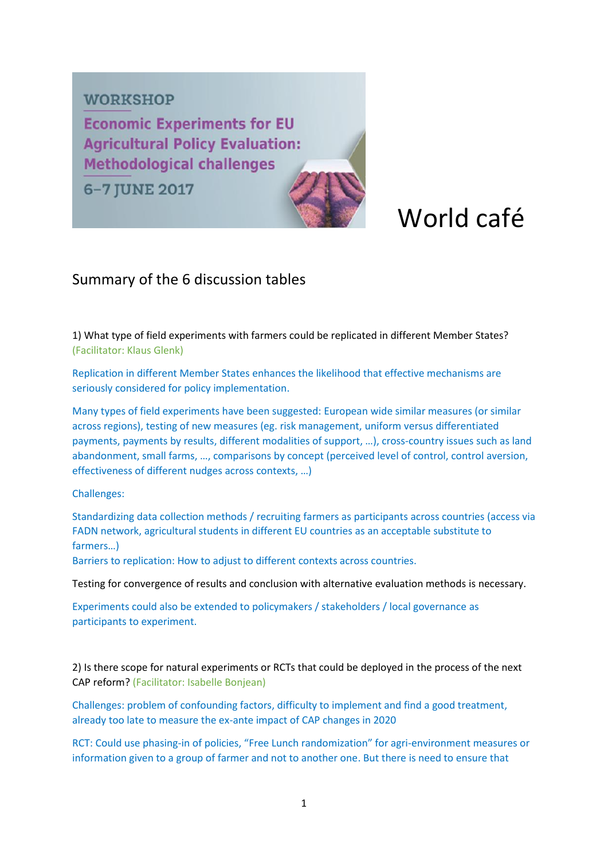### **WORKSHOP**

**Economic Experiments for EU Agricultural Policy Evaluation: Methodological challenges** 

6-7 JUNE 2017

# World café

## Summary of the 6 discussion tables

1) What type of field experiments with farmers could be replicated in different Member States? (Facilitator: Klaus Glenk)

Replication in different Member States enhances the likelihood that effective mechanisms are seriously considered for policy implementation.

Many types of field experiments have been suggested: European wide similar measures (or similar across regions), testing of new measures (eg. risk management, uniform versus differentiated payments, payments by results, different modalities of support, …), cross-country issues such as land abandonment, small farms, …, comparisons by concept (perceived level of control, control aversion, effectiveness of different nudges across contexts, …)

#### Challenges:

Standardizing data collection methods / recruiting farmers as participants across countries (access via FADN network, agricultural students in different EU countries as an acceptable substitute to farmers…)

Barriers to replication: How to adjust to different contexts across countries.

Testing for convergence of results and conclusion with alternative evaluation methods is necessary.

Experiments could also be extended to policymakers / stakeholders / local governance as participants to experiment.

2) Is there scope for natural experiments or RCTs that could be deployed in the process of the next CAP reform? (Facilitator: Isabelle Bonjean)

Challenges: problem of confounding factors, difficulty to implement and find a good treatment, already too late to measure the ex-ante impact of CAP changes in 2020

RCT: Could use phasing-in of policies, "Free Lunch randomization" for agri-environment measures or information given to a group of farmer and not to another one. But there is need to ensure that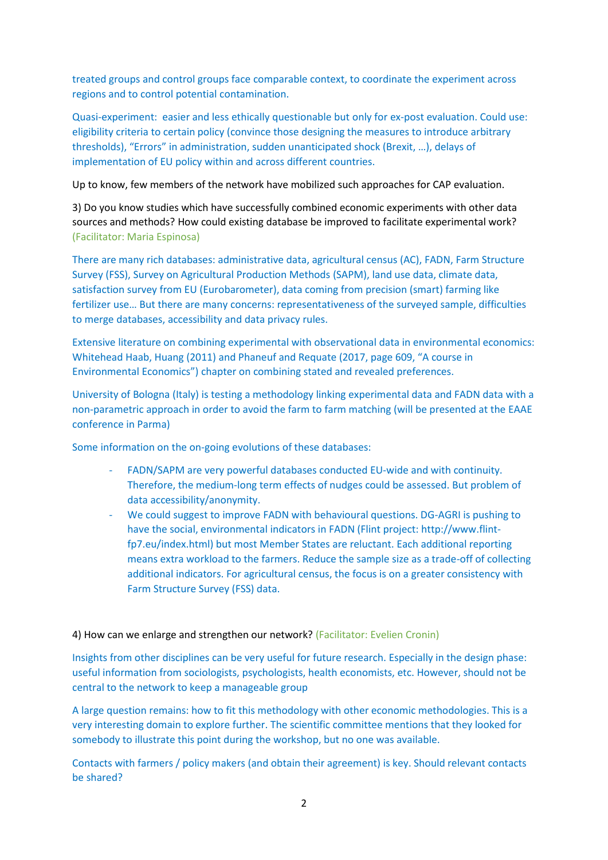treated groups and control groups face comparable context, to coordinate the experiment across regions and to control potential contamination.

Quasi-experiment: easier and less ethically questionable but only for ex-post evaluation. Could use: eligibility criteria to certain policy (convince those designing the measures to introduce arbitrary thresholds), "Errors" in administration, sudden unanticipated shock (Brexit, …), delays of implementation of EU policy within and across different countries.

Up to know, few members of the network have mobilized such approaches for CAP evaluation.

3) Do you know studies which have successfully combined economic experiments with other data sources and methods? How could existing database be improved to facilitate experimental work? (Facilitator: Maria Espinosa)

There are many rich databases: administrative data, agricultural census (AC), FADN, Farm Structure Survey (FSS), Survey on Agricultural Production Methods (SAPM), land use data, climate data, satisfaction survey from EU (Eurobarometer), data coming from precision (smart) farming like fertilizer use… But there are many concerns: representativeness of the surveyed sample, difficulties to merge databases, accessibility and data privacy rules.

Extensive literature on combining experimental with observational data in environmental economics: Whitehead Haab, Huang (2011) and Phaneuf and Requate (2017, page 609, "A course in Environmental Economics") chapter on combining stated and revealed preferences.

University of Bologna (Italy) is testing a methodology linking experimental data and FADN data with a non-parametric approach in order to avoid the farm to farm matching (will be presented at the EAAE conference in Parma)

Some information on the on-going evolutions of these databases:

- FADN/SAPM are very powerful databases conducted EU-wide and with continuity. Therefore, the medium-long term effects of nudges could be assessed. But problem of data accessibility/anonymity.
- We could suggest to improve FADN with behavioural questions. DG-AGRI is pushing to have the social, environmental indicators in FADN (Flint project: http://www.flintfp7.eu/index.html) but most Member States are reluctant. Each additional reporting means extra workload to the farmers. Reduce the sample size as a trade-off of collecting additional indicators. For agricultural census, the focus is on a greater consistency with Farm Structure Survey (FSS) data.

#### 4) How can we enlarge and strengthen our network? (Facilitator: Evelien Cronin)

Insights from other disciplines can be very useful for future research. Especially in the design phase: useful information from sociologists, psychologists, health economists, etc. However, should not be central to the network to keep a manageable group

A large question remains: how to fit this methodology with other economic methodologies. This is a very interesting domain to explore further. The scientific committee mentions that they looked for somebody to illustrate this point during the workshop, but no one was available.

Contacts with farmers / policy makers (and obtain their agreement) is key. Should relevant contacts be shared?